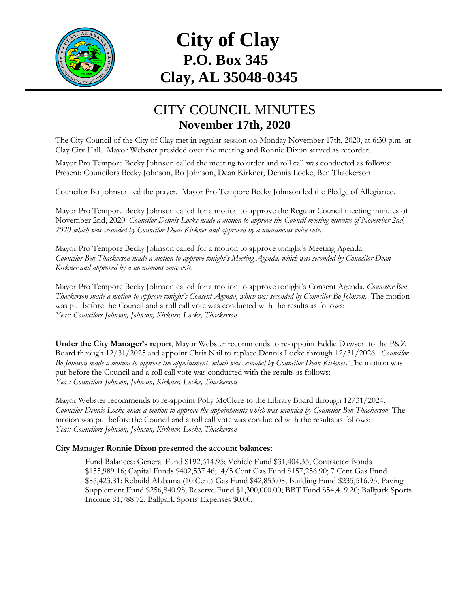

## **City of Clay P.O. Box 345 Clay, AL 35048-0345**

## CITY COUNCIL MINUTES **November 17th, 2020**

The City Council of the City of Clay met in regular session on Monday November 17th, 2020, at 6:30 p.m. at Clay City Hall. Mayor Webster presided over the meeting and Ronnie Dixon served as recorder.

Mayor Pro Tempore Becky Johnson called the meeting to order and roll call was conducted as follows: Present: Councilors Becky Johnson, Bo Johnson, Dean Kirkner, Dennis Locke, Ben Thackerson

Councilor Bo Johnson led the prayer. Mayor Pro Tempore Becky Johnson led the Pledge of Allegiance.

Mayor Pro Tempore Becky Johnson called for a motion to approve the Regular Council meeting minutes of November 2nd, 2020. *Councilor Dennis Locke made a motion to approve the Council meeting minutes of November 2nd, 2020 which was seconded by Councilor Dean Kirkner and approved by a unanimous voice vote.* 

Mayor Pro Tempore Becky Johnson called for a motion to approve tonight's Meeting Agenda. *Councilor Ben Thackerson made a motion to approve tonight's Meeting Agenda, which was seconded by Councilor Dean Kirkner and approved by a unanimous voice vote*.

Mayor Pro Tempore Becky Johnson called for a motion to approve tonight's Consent Agenda. *Councilor Ben Thackerson made a motion to approve tonight's Consent Agenda, which was seconded by Councilor Bo Johnson.* The motion was put before the Council and a roll call vote was conducted with the results as follows: *Yeas: Councilors Johnson, Johnson, Kirkner, Locke, Thackerson*

**Under the City Manager's report**, Mayor Webster recommends to re-appoint Eddie Dawson to the P&Z Board through 12/31/2025 and appoint Chris Nail to replace Dennis Locke through 12/31/2026*. Councilor Bo Johnson made a motion to approve the appointments which was seconded by Councilor Dean Kirkner*. The motion was put before the Council and a roll call vote was conducted with the results as follows: *Yeas: Councilors Johnson, Johnson, Kirkner, Locke, Thackerson*

Mayor Webster recommends to re-appoint Polly McClure to the Library Board through 12/31/2024*. Councilor Dennis Locke made a motion to approve the appointments which was seconded by Councilor Ben Thackerson.* The motion was put before the Council and a roll call vote was conducted with the results as follows: *Yeas: Councilors Johnson, Johnson, Kirkner, Locke, Thackerson*

## **City Manager Ronnie Dixon presented the account balances:**

Fund Balances: General Fund \$192,614.95; Vehicle Fund \$31,404.35; Contractor Bonds \$155,989.16; Capital Funds \$402,537.46; 4/5 Cent Gas Fund \$157,256.90; 7 Cent Gas Fund \$85,423.81; Rebuild Alabama (10 Cent) Gas Fund \$42,853.08; Building Fund \$235,516.93; Paving Supplement Fund \$256,840.98; Reserve Fund \$1,300,000.00; BBT Fund \$54,419.20; Ballpark Sports Income \$1,788.72; Ballpark Sports Expenses \$0.00.